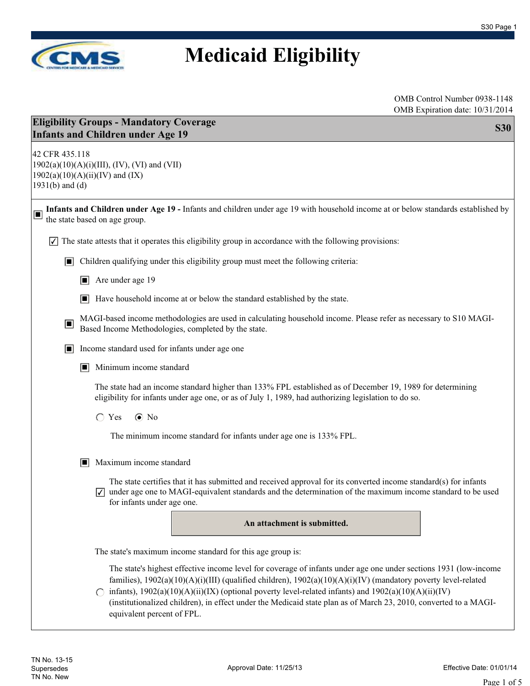

| <b>Eligibility Groups - Mandatory Coverage</b><br><b>S30</b><br><b>Infants and Children under Age 19</b> |                                                                                                                                                                                                                                                                                                                                                                                                                                                                                                      |  |  |
|----------------------------------------------------------------------------------------------------------|------------------------------------------------------------------------------------------------------------------------------------------------------------------------------------------------------------------------------------------------------------------------------------------------------------------------------------------------------------------------------------------------------------------------------------------------------------------------------------------------------|--|--|
| 42 CFR 435.118<br>$1931(b)$ and (d)                                                                      | 1902(a)(10)(A)(i)(III), (IV), (VI) and (VII)<br>$1902(a)(10)(A)(ii)(IV)$ and (IX)                                                                                                                                                                                                                                                                                                                                                                                                                    |  |  |
| $\Box$                                                                                                   | Infants and Children under Age 19 - Infants and children under age 19 with household income at or below standards established by<br>the state based on age group.                                                                                                                                                                                                                                                                                                                                    |  |  |
|                                                                                                          | The state attests that it operates this eligibility group in accordance with the following provisions:                                                                                                                                                                                                                                                                                                                                                                                               |  |  |
| O                                                                                                        | Children qualifying under this eligibility group must meet the following criteria:                                                                                                                                                                                                                                                                                                                                                                                                                   |  |  |
|                                                                                                          | $\Box$ Are under age 19                                                                                                                                                                                                                                                                                                                                                                                                                                                                              |  |  |
|                                                                                                          | Have household income at or below the standard established by the state.<br>П                                                                                                                                                                                                                                                                                                                                                                                                                        |  |  |
| ⊡                                                                                                        | MAGI-based income methodologies are used in calculating household income. Please refer as necessary to S10 MAGI-<br>Based Income Methodologies, completed by the state.                                                                                                                                                                                                                                                                                                                              |  |  |
| E                                                                                                        | Income standard used for infants under age one                                                                                                                                                                                                                                                                                                                                                                                                                                                       |  |  |
|                                                                                                          | Minimum income standard<br>$\Box$                                                                                                                                                                                                                                                                                                                                                                                                                                                                    |  |  |
|                                                                                                          | The state had an income standard higher than 133% FPL established as of December 19, 1989 for determining<br>eligibility for infants under age one, or as of July 1, 1989, had authorizing legislation to do so.                                                                                                                                                                                                                                                                                     |  |  |
|                                                                                                          | $\odot$ No<br>$\bigcirc$ Yes                                                                                                                                                                                                                                                                                                                                                                                                                                                                         |  |  |
|                                                                                                          | The minimum income standard for infants under age one is 133% FPL.                                                                                                                                                                                                                                                                                                                                                                                                                                   |  |  |
|                                                                                                          | Maximum income standard<br>IЦ                                                                                                                                                                                                                                                                                                                                                                                                                                                                        |  |  |
|                                                                                                          | The state certifies that it has submitted and received approval for its converted income standard(s) for infants<br>under age one to MAGI-equivalent standards and the determination of the maximum income standard to be used<br>for infants under age one.                                                                                                                                                                                                                                         |  |  |
|                                                                                                          | An attachment is submitted.                                                                                                                                                                                                                                                                                                                                                                                                                                                                          |  |  |
|                                                                                                          | The state's maximum income standard for this age group is:                                                                                                                                                                                                                                                                                                                                                                                                                                           |  |  |
|                                                                                                          | The state's highest effective income level for coverage of infants under age one under sections 1931 (low-income<br>families), $1902(a)(10)(A)(i)(III)$ (qualified children), $1902(a)(10)(A)(i)(IV)$ (mandatory poverty level-related<br>infants), $1902(a)(10)(A)(ii)(IX)$ (optional poverty level-related infants) and $1902(a)(10)(A)(ii)(IV)$<br>(institutionalized children), in effect under the Medicaid state plan as of March 23, 2010, converted to a MAGI-<br>equivalent percent of FPL. |  |  |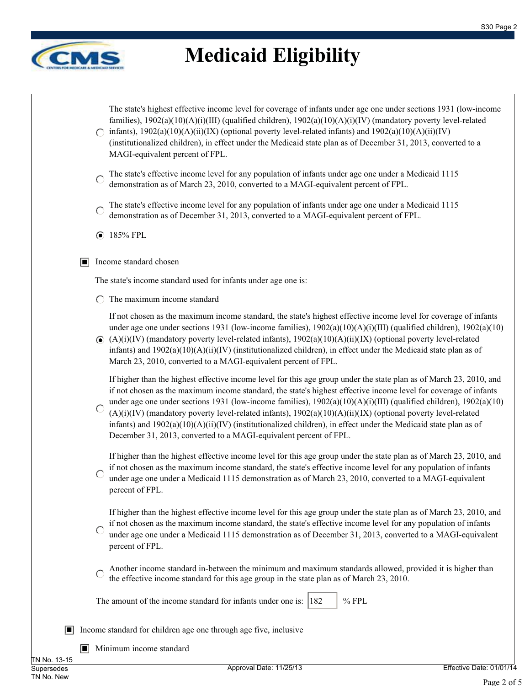

|            | The state's highest effective income level for coverage of infants under age one under sections 1931 (low-income<br>families), $1902(a)(10)(A)(i)(III)$ (qualified children), $1902(a)(10)(A)(i)(IV)$ (mandatory poverty level-related<br>infants), $1902(a)(10)(A)(ii)(IX)$ (optional poverty level-related infants) and $1902(a)(10)(A)(ii)(IV)$<br>(institutionalized children), in effect under the Medicaid state plan as of December 31, 2013, converted to a<br>MAGI-equivalent percent of FPL.                                                                                                                                                                         |
|------------|--------------------------------------------------------------------------------------------------------------------------------------------------------------------------------------------------------------------------------------------------------------------------------------------------------------------------------------------------------------------------------------------------------------------------------------------------------------------------------------------------------------------------------------------------------------------------------------------------------------------------------------------------------------------------------|
|            | The state's effective income level for any population of infants under age one under a Medicaid 1115<br>$\bigcirc$<br>demonstration as of March 23, 2010, converted to a MAGI-equivalent percent of FPL.                                                                                                                                                                                                                                                                                                                                                                                                                                                                       |
|            | The state's effective income level for any population of infants under age one under a Medicaid 1115<br>O<br>demonstration as of December 31, 2013, converted to a MAGI-equivalent percent of FPL.                                                                                                                                                                                                                                                                                                                                                                                                                                                                             |
|            | <b>● 185% FPL</b>                                                                                                                                                                                                                                                                                                                                                                                                                                                                                                                                                                                                                                                              |
| П          | Income standard chosen                                                                                                                                                                                                                                                                                                                                                                                                                                                                                                                                                                                                                                                         |
|            | The state's income standard used for infants under age one is:                                                                                                                                                                                                                                                                                                                                                                                                                                                                                                                                                                                                                 |
|            | The maximum income standard                                                                                                                                                                                                                                                                                                                                                                                                                                                                                                                                                                                                                                                    |
|            | If not chosen as the maximum income standard, the state's highest effective income level for coverage of infants<br>under age one under sections 1931 (low-income families), $1902(a)(10)(A)(i)(III)$ (qualified children), $1902(a)(10)$<br>$\odot$ (A)(i)(IV) (mandatory poverty level-related infants), 1902(a)(10)(A)(ii)(IX) (optional poverty level-related<br>infants) and $1902(a)(10)(A)(ii)(IV)$ (institutionalized children), in effect under the Medicaid state plan as of<br>March 23, 2010, converted to a MAGI-equivalent percent of FPL.                                                                                                                       |
|            | If higher than the highest effective income level for this age group under the state plan as of March 23, 2010, and<br>if not chosen as the maximum income standard, the state's highest effective income level for coverage of infants<br>under age one under sections 1931 (low-income families), $1902(a)(10)(A)(i)(III)$ (qualified children), $1902(a)(10)$<br>$(A)(i)(IV)$ (mandatory poverty level-related infants), $1902(a)(10)(A)(ii)(IX)$ (optional poverty level-related<br>infants) and $1902(a)(10)(A)(ii)(IV)$ (institutionalized children), in effect under the Medicaid state plan as of<br>December 31, 2013, converted to a MAGI-equivalent percent of FPL. |
|            | If higher than the highest effective income level for this age group under the state plan as of March 23, 2010, and<br>if not chosen as the maximum income standard, the state's effective income level for any population of infants<br>under age one under a Medicaid 1115 demonstration as of March 23, 2010, converted to a MAGI-equivalent<br>percent of FPL.                                                                                                                                                                                                                                                                                                             |
|            | If higher than the highest effective income level for this age group under the state plan as of March 23, 2010, and<br>if not chosen as the maximum income standard, the state's effective income level for any population of infants<br>under age one under a Medicaid 1115 demonstration as of December 31, 2013, converted to a MAGI-equivalent<br>percent of FPL.                                                                                                                                                                                                                                                                                                          |
|            | Another income standard in-between the minimum and maximum standards allowed, provided it is higher than<br>the effective income standard for this age group in the state plan as of March 23, 2010.                                                                                                                                                                                                                                                                                                                                                                                                                                                                           |
|            | $%$ FPL<br>The amount of the income standard for infants under one is: $ 182\rangle$                                                                                                                                                                                                                                                                                                                                                                                                                                                                                                                                                                                           |
|            | Income standard for children age one through age five, inclusive                                                                                                                                                                                                                                                                                                                                                                                                                                                                                                                                                                                                               |
| П<br>12.15 | Minimum income standard                                                                                                                                                                                                                                                                                                                                                                                                                                                                                                                                                                                                                                                        |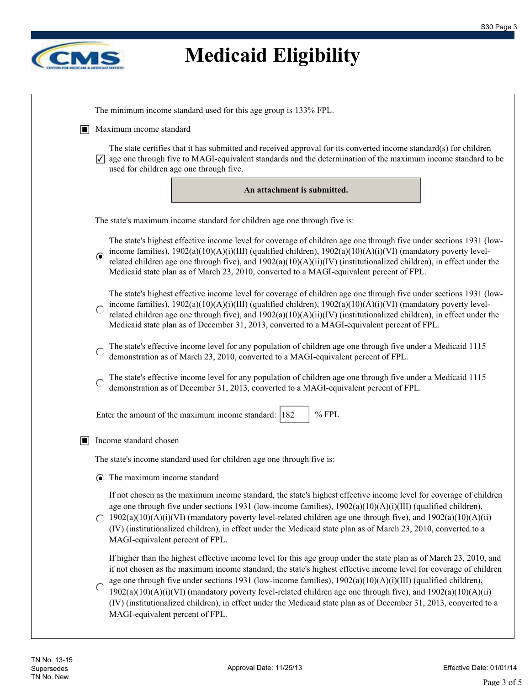

| IП | Maximum income standard                                                                                                                                                                                                                                                                                                                                                                                                                                                                                                                                                                                                                  |
|----|------------------------------------------------------------------------------------------------------------------------------------------------------------------------------------------------------------------------------------------------------------------------------------------------------------------------------------------------------------------------------------------------------------------------------------------------------------------------------------------------------------------------------------------------------------------------------------------------------------------------------------------|
|    | The state certifies that it has submitted and received approval for its converted income standard(s) for children<br>$\sqrt{\sqrt{2}}$ age one through five to MAGI-equivalent standards and the determination of the maximum income standard to be<br>used for children age one through five.                                                                                                                                                                                                                                                                                                                                           |
|    | An attachment is submitted.                                                                                                                                                                                                                                                                                                                                                                                                                                                                                                                                                                                                              |
|    | The state's maximum income standard for children age one through five is:                                                                                                                                                                                                                                                                                                                                                                                                                                                                                                                                                                |
|    | The state's highest effective income level for coverage of children age one through five under sections 1931 (low-<br>income families), 1902(a)(10)(A)(i)(III) (qualified children), 1902(a)(10)(A)(i)(VI) (mandatory poverty level-<br>related children age one through five), and 1902(a)(10)(A)(ii)(IV) (institutionalized children), in effect under the<br>Medicaid state plan as of March 23, 2010, converted to a MAGI-equivalent percent of FPL.                                                                                                                                                                                 |
|    | The state's highest effective income level for coverage of children age one through five under sections 1931 (low-<br>income families), $1902(a)(10)(A)(i)(III)$ (qualified children), $1902(a)(10)(A)(i)(VI)$ (mandatory poverty level-<br>related children age one through five), and $1902(a)(10)(A)(ii)(IV)$ (institutionalized children), in effect under the<br>Medicaid state plan as of December 31, 2013, converted to a MAGI-equivalent percent of FPL.                                                                                                                                                                        |
|    | The state's effective income level for any population of children age one through five under a Medicaid 1115<br>demonstration as of March 23, 2010, converted to a MAGI-equivalent percent of FPL.                                                                                                                                                                                                                                                                                                                                                                                                                                       |
|    | The state's effective income level for any population of children age one through five under a Medicaid 1115<br>demonstration as of December 31, 2013, converted to a MAGI-equivalent percent of FPL.                                                                                                                                                                                                                                                                                                                                                                                                                                    |
|    | $%$ FPL<br>Enter the amount of the maximum income standard: 182                                                                                                                                                                                                                                                                                                                                                                                                                                                                                                                                                                          |
| IП | Income standard chosen                                                                                                                                                                                                                                                                                                                                                                                                                                                                                                                                                                                                                   |
|    | The state's income standard used for children age one through five is:                                                                                                                                                                                                                                                                                                                                                                                                                                                                                                                                                                   |
|    | $\odot$ The maximum income standard                                                                                                                                                                                                                                                                                                                                                                                                                                                                                                                                                                                                      |
|    | If not chosen as the maximum income standard, the state's highest effective income level for coverage of children<br>age one through five under sections 1931 (low-income families), $1902(a)(10)(A)(i)(III)$ (qualified children),<br>$\bigcirc$ 1902(a)(10)(A)(i)(VI) (mandatory poverty level-related children age one through five), and 1902(a)(10)(A)(ii)<br>(IV) (institutionalized children), in effect under the Medicaid state plan as of March 23, 2010, converted to a<br>MAGI-equivalent percent of FPL.                                                                                                                    |
|    | If higher than the highest effective income level for this age group under the state plan as of March 23, 2010, and<br>if not chosen as the maximum income standard, the state's highest effective income level for coverage of children<br>age one through five under sections 1931 (low-income families), $1902(a)(10)(A)(i)(III)$ (qualified children),<br>$1902(a)(10)(A)(i)(VI)$ (mandatory poverty level-related children age one through five), and $1902(a)(10)(A)(ii)$<br>(IV) (institutionalized children), in effect under the Medicaid state plan as of December 31, 2013, converted to a<br>MAGI-equivalent percent of FPL. |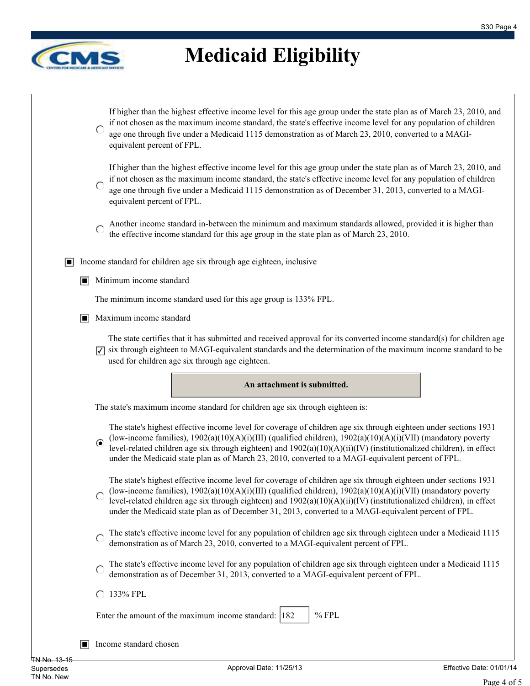

|                | If higher than the highest effective income level for this age group under the state plan as of March 23, 2010, and<br>if not chosen as the maximum income standard, the state's effective income level for any population of children<br>age one through five under a Medicaid 1115 demonstration as of March 23, 2010, converted to a MAGI-<br>equivalent percent of FPL.                                                                                             |
|----------------|-------------------------------------------------------------------------------------------------------------------------------------------------------------------------------------------------------------------------------------------------------------------------------------------------------------------------------------------------------------------------------------------------------------------------------------------------------------------------|
|                | If higher than the highest effective income level for this age group under the state plan as of March 23, 2010, and<br>if not chosen as the maximum income standard, the state's effective income level for any population of children<br>age one through five under a Medicaid 1115 demonstration as of December 31, 2013, converted to a MAGI-<br>equivalent percent of FPL.                                                                                          |
|                | Another income standard in-between the minimum and maximum standards allowed, provided it is higher than<br>the effective income standard for this age group in the state plan as of March 23, 2010.                                                                                                                                                                                                                                                                    |
| O              | Income standard for children age six through age eighteen, inclusive                                                                                                                                                                                                                                                                                                                                                                                                    |
| п              | Minimum income standard                                                                                                                                                                                                                                                                                                                                                                                                                                                 |
|                | The minimum income standard used for this age group is 133% FPL.                                                                                                                                                                                                                                                                                                                                                                                                        |
| $\blacksquare$ | Maximum income standard                                                                                                                                                                                                                                                                                                                                                                                                                                                 |
|                | The state certifies that it has submitted and received approval for its converted income standard(s) for children age<br>six through eighteen to MAGI-equivalent standards and the determination of the maximum income standard to be<br>⊽<br>used for children age six through age eighteen.                                                                                                                                                                           |
|                |                                                                                                                                                                                                                                                                                                                                                                                                                                                                         |
|                | An attachment is submitted.                                                                                                                                                                                                                                                                                                                                                                                                                                             |
|                | The state's maximum income standard for children age six through eighteen is:                                                                                                                                                                                                                                                                                                                                                                                           |
|                | The state's highest effective income level for coverage of children age six through eighteen under sections 1931<br>(low-income families), $1902(a)(10)(A)(i)(III)$ (qualified children), $1902(a)(10)(A)(i)(VII)$ (mandatory poverty<br>level-related children age six through eighteen) and 1902(a)(10)(A)(ii)(IV) (institutionalized children), in effect<br>under the Medicaid state plan as of March 23, 2010, converted to a MAGI-equivalent percent of FPL.      |
|                | The state's highest effective income level for coverage of children age six through eighteen under sections 1931<br>(low-income families), $1902(a)(10)(A)(i)(III)$ (qualified children), $1902(a)(10)(A)(i)(VII)$ (mandatory poverty<br>level-related children age six through eighteen) and $1902(a)(10)(A)(ii)(IV)$ (institutionalized children), in effect<br>under the Medicaid state plan as of December 31, 2013, converted to a MAGI-equivalent percent of FPL. |
|                | The state's effective income level for any population of children age six through eighteen under a Medicaid 1115<br>demonstration as of March 23, 2010, converted to a MAGI-equivalent percent of FPL.                                                                                                                                                                                                                                                                  |
|                | The state's effective income level for any population of children age six through eighteen under a Medicaid 1115<br>demonstration as of December 31, 2013, converted to a MAGI-equivalent percent of FPL.                                                                                                                                                                                                                                                               |
|                | ◯ 133% FPL                                                                                                                                                                                                                                                                                                                                                                                                                                                              |
|                | $%$ FPL<br>Enter the amount of the maximum income standard: 182                                                                                                                                                                                                                                                                                                                                                                                                         |